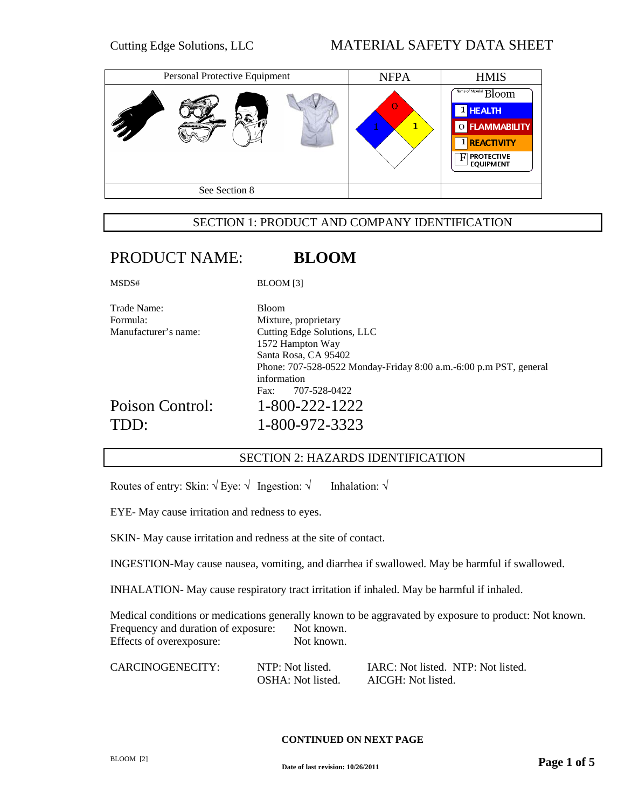| Personal Protective Equipment | <b>NFPA</b> | <b>HMIS</b>                                                                                                                   |
|-------------------------------|-------------|-------------------------------------------------------------------------------------------------------------------------------|
|                               | $\Omega$    | Name of Material Bloom<br><sup>1</sup> HEALTH<br>O FLAMMABILITY<br>1 REACTIVITY<br><b>PROTECTIVE</b><br>н<br><b>EQUIPMENT</b> |
| See Section 8                 |             |                                                                                                                               |

## SECTION 1: PRODUCT AND COMPANY IDENTIFICATION

# PRODUCT NAME: **BLOOM**

MSDS# BLOOM [3]

| <b>Bloom</b>                                                                     |
|----------------------------------------------------------------------------------|
| Mixture, proprietary                                                             |
| Cutting Edge Solutions, LLC                                                      |
| 1572 Hampton Way                                                                 |
| Santa Rosa, CA 95402                                                             |
| Phone: 707-528-0522 Monday-Friday 8:00 a.m.-6:00 p.m PST, general<br>information |
| 707-528-0422<br>Fax:                                                             |
| 1-800-222-1222                                                                   |
| 1-800-972-3323                                                                   |
|                                                                                  |

# SECTION 2: HAZARDS IDENTIFICATION

Routes of entry: Skin:  $\sqrt{E}$  Eye:  $\sqrt{\ }$  Ingestion:  $\sqrt{\ }$  Inhalation:  $\sqrt{\ }$ 

EYE- May cause irritation and redness to eyes.

SKIN- May cause irritation and redness at the site of contact.

INGESTION-May cause nausea, vomiting, and diarrhea if swallowed. May be harmful if swallowed.

INHALATION- May cause respiratory tract irritation if inhaled. May be harmful if inhaled.

Medical conditions or medications generally known to be aggravated by exposure to product: Not known. Frequency and duration of exposure: Not known. Effects of overexposure: Not known.

NTP: Not listed. **IARC: Not listed.** NTP: Not listed. OSHA: Not listed. AICGH: Not listed.

#### **CONTINUED ON NEXT PAGE**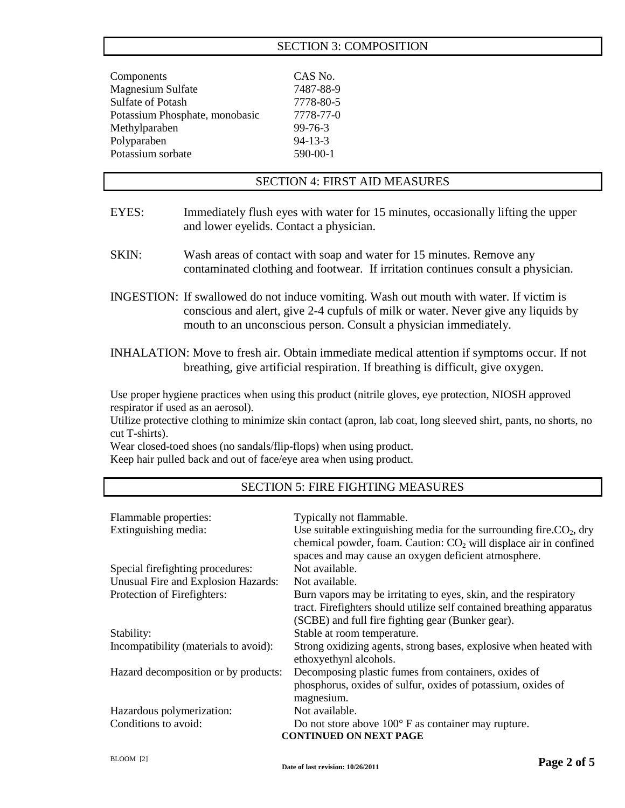### SECTION 3: COMPOSITION

| Components                     | CAS No.       |
|--------------------------------|---------------|
| Magnesium Sulfate              | 7487-88-9     |
| <b>Sulfate of Potash</b>       | 7778-80-5     |
| Potassium Phosphate, monobasic | 7778-77-0     |
| Methylparaben                  | $99 - 76 - 3$ |
| Polyparaben                    | $94-13-3$     |
| Potassium sorbate              | 590-00-1      |
|                                |               |

## SECTION 4: FIRST AID MEASURES

- EYES: Immediately flush eyes with water for 15 minutes, occasionally lifting the upper and lower eyelids. Contact a physician.
- SKIN: Wash areas of contact with soap and water for 15 minutes. Remove any contaminated clothing and footwear. If irritation continues consult a physician.
- INGESTION: If swallowed do not induce vomiting. Wash out mouth with water. If victim is conscious and alert, give 2-4 cupfuls of milk or water. Never give any liquids by mouth to an unconscious person. Consult a physician immediately.
- INHALATION: Move to fresh air. Obtain immediate medical attention if symptoms occur. If not breathing, give artificial respiration. If breathing is difficult, give oxygen.

Use proper hygiene practices when using this product (nitrile gloves, eye protection, NIOSH approved respirator if used as an aerosol).

Utilize protective clothing to minimize skin contact (apron, lab coat, long sleeved shirt, pants, no shorts, no cut T-shirts).

Wear closed-toed shoes (no sandals/flip-flops) when using product.

Keep hair pulled back and out of face/eye area when using product.

### SECTION 5: FIRE FIGHTING MEASURES

| Flammable properties:<br>Extinguishing media: | Typically not flammable.<br>Use suitable extinguishing media for the surrounding fire. $CO2$ , dry<br>chemical powder, foam. Caution: $CO2$ will displace air in confined<br>spaces and may cause an oxygen deficient atmosphere. |
|-----------------------------------------------|-----------------------------------------------------------------------------------------------------------------------------------------------------------------------------------------------------------------------------------|
| Special firefighting procedures:              | Not available.                                                                                                                                                                                                                    |
| Unusual Fire and Explosion Hazards:           | Not available.                                                                                                                                                                                                                    |
| Protection of Firefighters:                   | Burn vapors may be irritating to eyes, skin, and the respiratory<br>tract. Firefighters should utilize self contained breathing apparatus<br>(SCBE) and full fire fighting gear (Bunker gear).                                    |
| Stability:                                    | Stable at room temperature.                                                                                                                                                                                                       |
| Incompatibility (materials to avoid):         | Strong oxidizing agents, strong bases, explosive when heated with<br>ethoxyethynl alcohols.                                                                                                                                       |
| Hazard decomposition or by products:          | Decomposing plastic fumes from containers, oxides of<br>phosphorus, oxides of sulfur, oxides of potassium, oxides of<br>magnesium.                                                                                                |
| Hazardous polymerization:                     | Not available.                                                                                                                                                                                                                    |
| Conditions to avoid:                          | Do not store above $100^{\circ}$ F as container may rupture.<br><b>CONTINUED ON NEXT PAGE</b>                                                                                                                                     |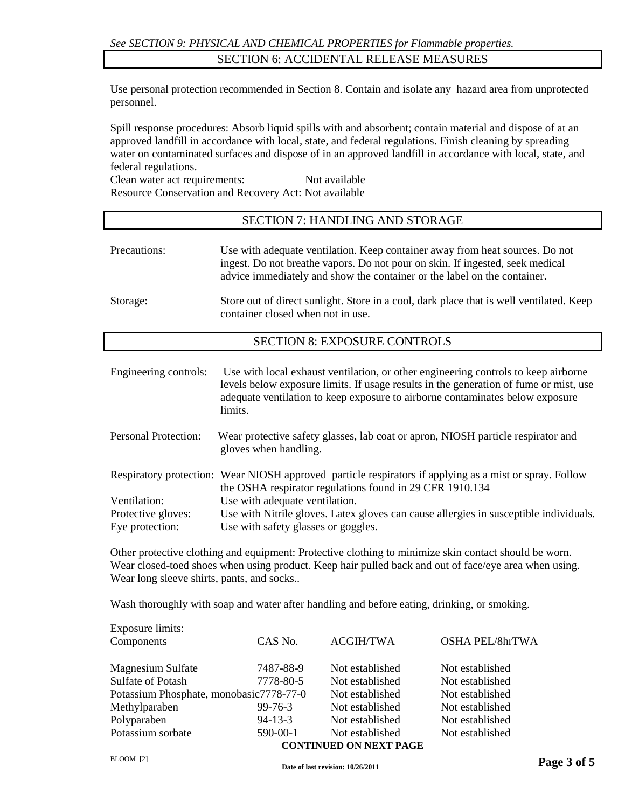### SECTION 6: ACCIDENTAL RELEASE MEASURES

Use personal protection recommended in Section 8. Contain and isolate any hazard area from unprotected personnel.

Spill response procedures: Absorb liquid spills with and absorbent; contain material and dispose of at an approved landfill in accordance with local, state, and federal regulations. Finish cleaning by spreading water on contaminated surfaces and dispose of in an approved landfill in accordance with local, state, and federal regulations.

Clean water act requirements: Not available Resource Conservation and Recovery Act: Not available

## SECTION 7: HANDLING AND STORAGE

| Precautions: | Use with adequate ventilation. Keep container away from heat sources. Do not<br>ingest. Do not breathe vapors. Do not pour on skin. If ingested, seek medical<br>advice immediately and show the container or the label on the container. |
|--------------|-------------------------------------------------------------------------------------------------------------------------------------------------------------------------------------------------------------------------------------------|
| Storage:     | Store out of direct sunlight. Store in a cool, dark place that is well ventilated. Keep<br>container closed when not in use.                                                                                                              |

### SECTION 8: EXPOSURE CONTROLS

| Engineering controls: | Use with local exhaust ventilation, or other engineering controls to keep airborne<br>levels below exposure limits. If usage results in the generation of fume or mist, use<br>adequate ventilation to keep exposure to airborne contaminates below exposure<br>limits. |
|-----------------------|-------------------------------------------------------------------------------------------------------------------------------------------------------------------------------------------------------------------------------------------------------------------------|
| Personal Protection:  | Wear protective safety glasses, lab coat or apron, NIOSH particle respirator and<br>gloves when handling.                                                                                                                                                               |
|                       | Respiratory protection: Wear NIOSH approved particle respirators if applying as a mist or spray. Follow<br>the OSHA respirator regulations found in 29 CFR 1910.134                                                                                                     |
| Ventilation:          | Use with adequate ventilation.                                                                                                                                                                                                                                          |
| Protective gloves:    | Use with Nitrile gloves. Latex gloves can cause allergies in susceptible individuals.                                                                                                                                                                                   |
| Eye protection:       | Use with safety glasses or goggles.                                                                                                                                                                                                                                     |

Other protective clothing and equipment: Protective clothing to minimize skin contact should be worn. Wear closed-toed shoes when using product. Keep hair pulled back and out of face/eye area when using. Wear long sleeve shirts, pants, and socks..

Wash thoroughly with soap and water after handling and before eating, drinking, or smoking.

| Exposure limits:                        |               |                                                  |                        |
|-----------------------------------------|---------------|--------------------------------------------------|------------------------|
| Components                              | CAS No.       | <b>ACGIH/TWA</b>                                 | <b>OSHA PEL/8hrTWA</b> |
| <b>Magnesium Sulfate</b>                | 7487-88-9     | Not established                                  | Not established        |
| Sulfate of Potash                       | 7778-80-5     | Not established                                  | Not established        |
| Potassium Phosphate, monobasic7778-77-0 |               | Not established                                  | Not established        |
| Methylparaben                           | $99 - 76 - 3$ | Not established                                  | Not established        |
| Polyparaben                             | $94 - 13 - 3$ | Not established                                  | Not established        |
| Potassium sorbate                       | 590-00-1      | Not established<br><b>CONTINUED ON NEXT PAGE</b> | Not established        |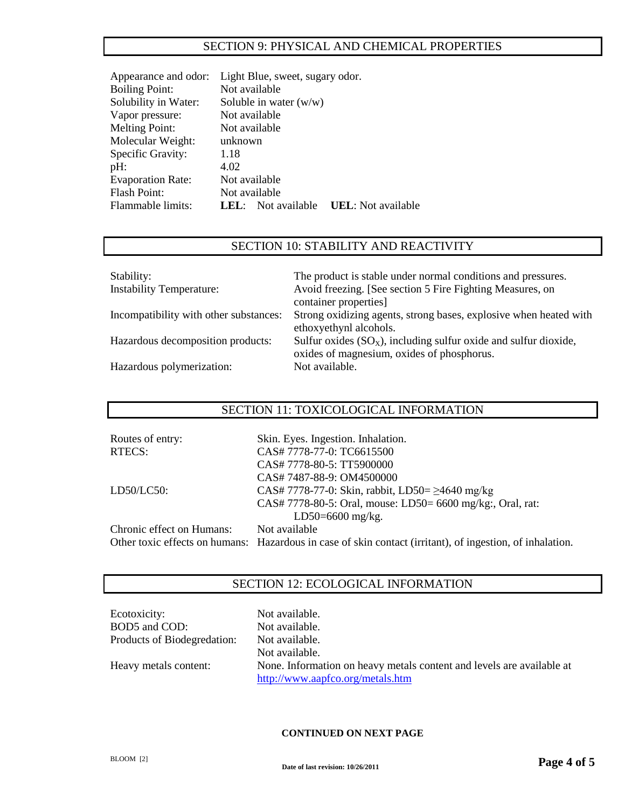### SECTION 9: PHYSICAL AND CHEMICAL PROPERTIES

| Light Blue, sweet, sugary odor.                     |  |
|-----------------------------------------------------|--|
| Not available                                       |  |
| Soluble in water $(w/w)$                            |  |
| Not available                                       |  |
| Not available                                       |  |
| unknown                                             |  |
| 1.18                                                |  |
| 4.02                                                |  |
| Not available                                       |  |
| Not available                                       |  |
| <b>UEL</b> : Not available<br>Not available<br>LEL: |  |
|                                                     |  |

## SECTION 10: STABILITY AND REACTIVITY

| Stability:<br><b>Instability Temperature:</b> | The product is stable under normal conditions and pressures.<br>Avoid freezing. [See section 5 Fire Fighting Measures, on |
|-----------------------------------------------|---------------------------------------------------------------------------------------------------------------------------|
|                                               | container properties]                                                                                                     |
| Incompatibility with other substances:        | Strong oxidizing agents, strong bases, explosive when heated with                                                         |
|                                               | ethoxyethynl alcohols.                                                                                                    |
| Hazardous decomposition products:             | Sulfur oxides $(SO_x)$ , including sulfur oxide and sulfur dioxide,                                                       |
|                                               | oxides of magnesium, oxides of phosphorus.                                                                                |
| Hazardous polymerization:                     | Not available.                                                                                                            |

### SECTION 11: TOXICOLOGICAL INFORMATION

| Routes of entry:          | Skin. Eyes. Ingestion. Inhalation.                                                                        |
|---------------------------|-----------------------------------------------------------------------------------------------------------|
| RTECS:                    | CAS# 7778-77-0: TC6615500                                                                                 |
|                           | CAS# 7778-80-5: TT5900000                                                                                 |
|                           | CAS# 7487-88-9: OM4500000                                                                                 |
| LD50/LC50:                | CAS# 7778-77-0: Skin, rabbit, LD50= $\geq$ 4640 mg/kg                                                     |
|                           | CAS# 7778-80-5: Oral, mouse: LD50= 6600 mg/kg:, Oral, rat:                                                |
|                           | $LD50=6600$ mg/kg.                                                                                        |
| Chronic effect on Humans: | Not available                                                                                             |
|                           | Other toxic effects on humans: Hazardous in case of skin contact (irritant), of ingestion, of inhalation. |

## SECTION 12: ECOLOGICAL INFORMATION

| Ecotoxicity:                | Not available.                                                        |
|-----------------------------|-----------------------------------------------------------------------|
| BOD5 and COD:               | Not available.                                                        |
| Products of Biodegredation: | Not available.                                                        |
|                             | Not available.                                                        |
| Heavy metals content:       | None. Information on heavy metals content and levels are available at |
|                             | http://www.aapfco.org/metals.htm                                      |

#### **CONTINUED ON NEXT PAGE**